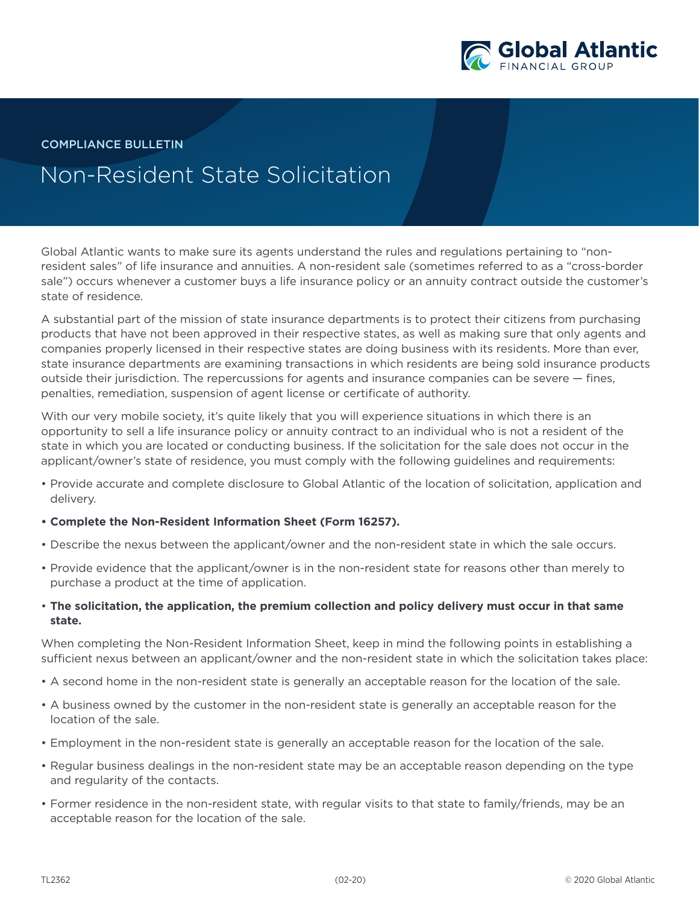

COMPLIANCE BULLETIN

## Non-Resident State Solicitation

Global Atlantic wants to make sure its agents understand the rules and regulations pertaining to "nonresident sales" of life insurance and annuities. A non-resident sale (sometimes referred to as a "cross-border sale") occurs whenever a customer buys a life insurance policy or an annuity contract outside the customer's state of residence.

A substantial part of the mission of state insurance departments is to protect their citizens from purchasing products that have not been approved in their respective states, as well as making sure that only agents and companies properly licensed in their respective states are doing business with its residents. More than ever, state insurance departments are examining transactions in which residents are being sold insurance products outside their jurisdiction. The repercussions for agents and insurance companies can be severe — fines, penalties, remediation, suspension of agent license or certificate of authority.

With our very mobile society, it's quite likely that you will experience situations in which there is an opportunity to sell a life insurance policy or annuity contract to an individual who is not a resident of the state in which you are located or conducting business. If the solicitation for the sale does not occur in the applicant/owner's state of residence, you must comply with the following guidelines and requirements:

- Provide accurate and complete disclosure to Global Atlantic of the location of solicitation, application and delivery.
- **• Complete the Non-Resident Information Sheet (Form 16257).**
- Describe the nexus between the applicant/owner and the non-resident state in which the sale occurs.
- Provide evidence that the applicant/owner is in the non-resident state for reasons other than merely to purchase a product at the time of application.
- **The solicitation, the application, the premium collection and policy delivery must occur in that same state.**

When completing the Non-Resident Information Sheet, keep in mind the following points in establishing a sufficient nexus between an applicant/owner and the non-resident state in which the solicitation takes place:

- A second home in the non-resident state is generally an acceptable reason for the location of the sale.
- A business owned by the customer in the non-resident state is generally an acceptable reason for the location of the sale.
- Employment in the non-resident state is generally an acceptable reason for the location of the sale.
- Regular business dealings in the non-resident state may be an acceptable reason depending on the type and regularity of the contacts.
- Former residence in the non-resident state, with regular visits to that state to family/friends, may be an acceptable reason for the location of the sale.